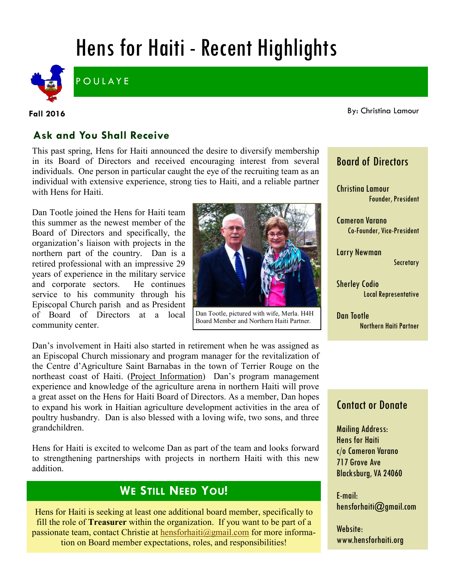# Hens for Haiti - Recent Highlights



**POULAYE** 

**Fall 2016**

By: Christina Lamour

### **Ask and You Shall Receive**

This past spring, Hens for Haiti announced the desire to diversify membership in its Board of Directors and received encouraging interest from several individuals. One person in particular caught the eye of the recruiting team as an individual with extensive experience, strong ties to Haiti, and a reliable partner with Hens for Haiti.

Dan Tootle joined the Hens for Haiti team this summer as the newest member of the Board of Directors and specifically, the organization's liaison with projects in the northern part of the country. Dan is a retired professional with an impressive 29 years of experience in the military service and corporate sectors. He continues service to his community through his Episcopal Church parish and as President of Board of Directors at a local community center.



Board Member and Northern Haiti Partner.

Dan's involvement in Haiti also started in retirement when he was assigned as an Episcopal Church missionary and program manager for the revitalization of the Centre d'Agriculture Saint Barnabas in the town of Terrier Rouge on the northeast coast of Haiti. [\(Project Information\)](http://episcopaldigitalnetwork.com/ens/2016/02/22/haiti-episcopal-college-prepares-students-for-agriculture-agri-business/) Dan's program management experience and knowledge of the agriculture arena in northern Haiti will prove a great asset on the Hens for Haiti Board of Directors. As a member, Dan hopes to expand his work in Haitian agriculture development activities in the area of poultry husbandry. Dan is also blessed with a loving wife, two sons, and three grandchildren.

Hens for Haiti is excited to welcome Dan as part of the team and looks forward to strengthening partnerships with projects in northern Haiti with this new addition.

# **WE STILL NEED YOU!**

Hens for Haiti is seeking at least one additional board member, specifically to fill the role of **Treasurer** within the organization. If you want to be part of a passionate team, contact Christie at [hensforhaiti@gmail.com](mailto:hensforhaiti@gmail.com?subject=Board%20Member%20Inquiry) for more information on Board member expectations, roles, and responsibilities!

# Board of Directors

Christina Lamour Founder, President

Cameron Varano Co-Founder, Vice-President

Larry Newman **Secretary** 

Sherley Codio Local Representative

Dan Tootle Northern Haiti Partner

### Contact or Donate

Mailing Address: Hens for Haiti c/o Cameron Varano 717 Grove Ave Blacksburg, VA 24060

E-mail: hensforhaiti@gmail.com

Website: www.hensforhaiti.org